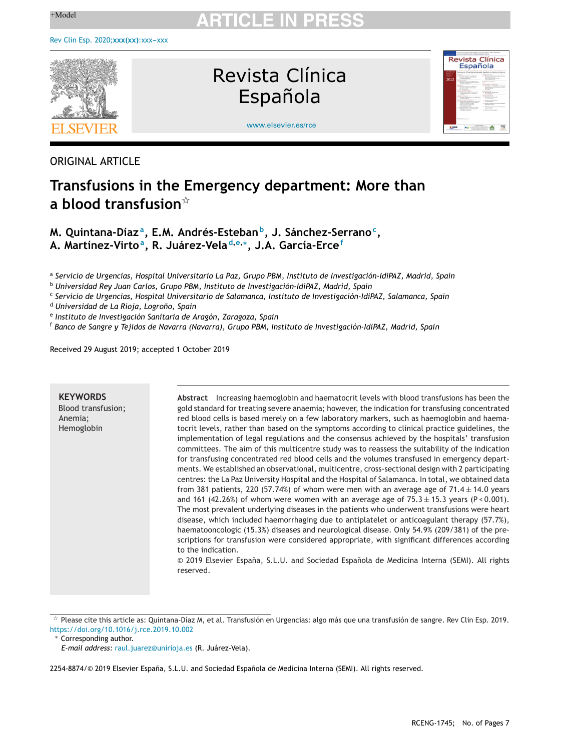

Revista Clínica Española



[www.elsevier.es/rce](http://www.elsevier.es/rce)

# ORIGINAL ARTICLE

# **Transfusions in the Emergency department: More than a blood transfusion**-

**M. Quintana-Díaz a, E.M. Andrés-Estebanb, J. Sánchez-Serranoc, A. Martínez-Virtoa, R. Juárez-Vela <sup>d</sup>,e,∗, J.A. García-Erce<sup>f</sup>**

<sup>a</sup> *Servicio de Urgencias, Hospital Universitario La Paz, Grupo PBM, Instituto de Investigación-IdiPAZ, Madrid, Spain*

<sup>b</sup> *Universidad Rey Juan Carlos, Grupo PBM, Instituto de Investigación-IdiPAZ, Madrid, Spain*

<sup>c</sup> *Servicio de Urgencias, Hospital Universitario de Salamanca, Instituto de Investigación-IdiPAZ, Salamanca, Spain*

<sup>d</sup> *Universidad de La Rioja, Logrono, ˜ Spain*

<sup>e</sup> *Instituto de Investigación Sanitaria de Aragón, Zaragoza, Spain*

<sup>f</sup> *Banco de Sangre y Tejidos de Navarra (Navarra), Grupo PBM, Instituto de Investigación-IdiPAZ, Madrid, Spain*

Received 29 August 2019; accepted 1 October 2019

| <b>KEYWORDS</b><br>Blood transfusion;<br>Anemia;<br>Hemoglobin | Abstract Increasing haemoglobin and haematocrit levels with blood transfusions has been the<br>gold standard for treating severe anaemia; however, the indication for transfusing concentrated<br>red blood cells is based merely on a few laboratory markers, such as haemoglobin and haema-<br>tocrit levels, rather than based on the symptoms according to clinical practice guidelines, the<br>implementation of legal regulations and the consensus achieved by the hospitals' transfusion<br>committees. The aim of this multicentre study was to reassess the suitability of the indication<br>for transfusing concentrated red blood cells and the volumes transfused in emergency depart-<br>ments. We established an observational, multicentre, cross-sectional design with 2 participating<br>centres: the La Paz University Hospital and the Hospital of Salamanca. In total, we obtained data<br>from 381 patients, 220 (57.74%) of whom were men with an average age of 71.4 $\pm$ 14.0 years<br>and 161 (42.26%) of whom were women with an average age of $75.3 \pm 15.3$ years (P < 0.001).<br>The most prevalent underlying diseases in the patients who underwent transfusions were heart<br>disease, which included haemorrhaging due to antiplatelet or anticoagulant therapy (57.7%),<br>haematooncologic (15.3%) diseases and neurological disease. Only 54.9% (209/381) of the pre-<br>scriptions for transfusion were considered appropriate, with significant differences according<br>to the indication.<br>© 2019 Elsevier España, S.L.U. and Sociedad Española de Medicina Interna (SEMI). All rights<br>reserved. |
|----------------------------------------------------------------|---------------------------------------------------------------------------------------------------------------------------------------------------------------------------------------------------------------------------------------------------------------------------------------------------------------------------------------------------------------------------------------------------------------------------------------------------------------------------------------------------------------------------------------------------------------------------------------------------------------------------------------------------------------------------------------------------------------------------------------------------------------------------------------------------------------------------------------------------------------------------------------------------------------------------------------------------------------------------------------------------------------------------------------------------------------------------------------------------------------------------------------------------------------------------------------------------------------------------------------------------------------------------------------------------------------------------------------------------------------------------------------------------------------------------------------------------------------------------------------------------------------------------------------------------------------------------------------------------------------------------------------------------|

t, Please cite this article as: Quintana-Díaz M, et al. Transfusión en Urgencias: algo más que una transfusión de sangre. Rev Clin Esp. 2019. <https://doi.org/10.1016/j.rce.2019.10.002>

∗ Corresponding author.

2254-8874/© 2019 Elsevier España, S.L.U. and Sociedad Española de Medicina Interna (SEMI). All rights reserved.

*E-mail address:* [raul.juarez@unirioja.es](mailto:raul.juarez@unirioja.es) (R. Juárez-Vela).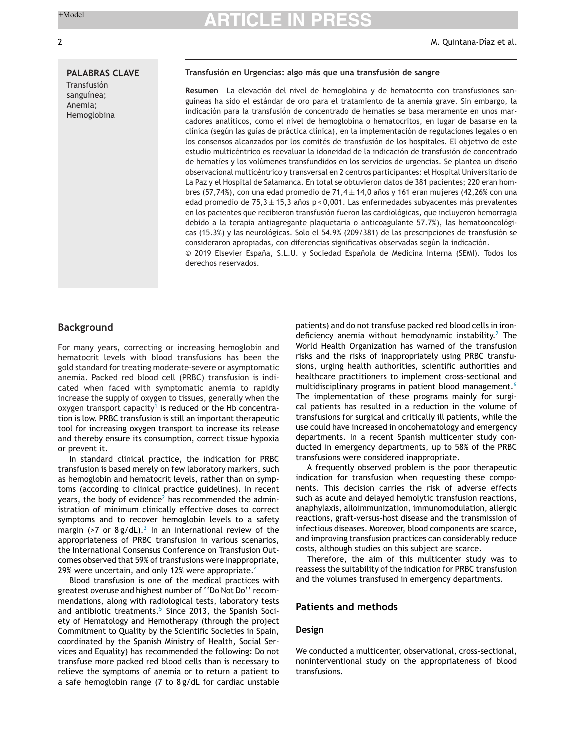# **PALABRAS CLAVE**

Transfusión sanguínea; Anemia; Hemoglobina

### **Transfusión en Urgencias: algo más que una transfusión de sangre**

**Resumen** La elevación del nivel de hemoglobina y de hematocrito con transfusiones sanguíneas ha sido el estándar de oro para el tratamiento de la anemia grave. Sin embargo, la indicación para la transfusión de concentrado de hematíes se basa meramente en unos marcadores analíticos, como el nivel de hemoglobina o hematocritos, en lugar de basarse en la clínica (según las guías de práctica clínica), en la implementación de regulaciones legales o en los consensos alcanzados por los comités de transfusión de los hospitales. El objetivo de este estudio multicéntrico es reevaluar la idoneidad de la indicación de transfusión de concentrado de hematíes y los volúmenes transfundidos en los servicios de urgencias. Se plantea un diseño observacional multicéntrico y transversal en 2 centros participantes: el Hospital Universitario de La Paz y el Hospital de Salamanca. En total se obtuvieron datos de 381 pacientes; 220 eran hombres (57,74%), con una edad promedio de 71,4 $\pm$ 14,0 años y 161 eran mujeres (42,26% con una edad promedio de 75,3  $\pm$  15,3 años p < 0,001. Las enfermedades subvacentes más prevalentes en los pacientes que recibieron transfusión fueron las cardiológicas, que incluyeron hemorragia debido a la terapia antiagregante plaquetaria o anticoagulante 57.7%), las hematooncológicas (15.3%) y las neurológicas. Solo el 54.9% (209/381) de las prescripciones de transfusión se consideraron apropiadas, con diferencias significativas observadas según la indicación.  $© 2019$  Elsevier España, S.L.U. y Sociedad Española de Medicina Interna (SEMI). Todos los derechos reservados.

# **Background**

For many years, correcting or increasing hemoglobin and hematocrit levels with blood transfusions has been the gold standard for treating moderate-severe or asymptomatic anemia. Packed red blood cell (PRBC) transfusion is indicated when faced with symptomatic anemia to rapidly increase the supply of oxygen to tissues, generally when the oxygen transport capacity<sup>[1](#page-6-0)</sup> is reduced or the Hb concentration is low. PRBC transfusion is still an important therapeutic tool for increasing oxygen transport to increase its release and thereby ensure its consumption, correct tissue hypoxia or prevent it.

In standard clinical practice, the indication for PRBC transfusion is based merely on few laboratory markers, such as hemoglobin and hematocrit levels, rather than on symptoms (according to clinical practice guidelines). In recent years, the body of evidence<sup>[2](#page-6-0)</sup> has recommended the administration of minimum clinically effective doses to correct symptoms and to recover hemoglobin levels to a safety margin (>7 or  $8g/dL$ ).<sup>[3](#page-6-0)</sup> In an international review of the appropriateness of PRBC transfusion in various scenarios, the International Consensus Conference on Transfusion Outcomes observed that 59% of transfusions were inappropriate, 29% were uncertain, and only 12% were appropriate.<sup>[4](#page-6-0)</sup>

Blood transfusion is one of the medical practices with greatest overuse and highest number of ''Do Not Do'' recommendations, along with radiological tests, laboratory tests and antibiotic treatments.<sup>[5](#page-6-0)</sup> Since 2013, the Spanish Society of Hematology and Hemotherapy (through the project Commitment to Quality by the Scientific Societies in Spain, coordinated by the Spanish Ministry of Health, Social Services and Equality) has recommended the following: Do not transfuse more packed red blood cells than is necessary to relieve the symptoms of anemia or to return a patient to a safe hemoglobin range (7 to 8 g/dL for cardiac unstable

patients) and do not transfuse packed red blood cells in irondeficiency anemia without hemodynamic instability. $2$  The World Health Organization has warned of the transfusion risks and the risks of inappropriately using PRBC transfusions, urging health authorities, scientific authorities and healthcare practitioners to implement cross-sectional and multidisciplinary programs in patient blood management.<sup>[6](#page-6-0)</sup> The implementation of these programs mainly for surgical patients has resulted in a reduction in the volume of transfusions for surgical and critically ill patients, while the use could have increased in oncohematology and emergency departments. In a recent Spanish multicenter study conducted in emergency departments, up to 58% of the PRBC transfusions were considered inappropriate.

A frequently observed problem is the poor therapeutic indication for transfusion when requesting these components. This decision carries the risk of adverse effects such as acute and delayed hemolytic transfusion reactions, anaphylaxis, alloimmunization, immunomodulation, allergic reactions, graft-versus-host disease and the transmission of infectious diseases. Moreover, blood components are scarce, and improving transfusion practices can considerably reduce costs, although studies on this subject are scarce.

Therefore, the aim of this multicenter study was to reassess the suitability of the indication for PRBC transfusion and the volumes transfused in emergency departments.

# **Patients and methods**

# **Design**

We conducted a multicenter, observational, cross-sectional, noninterventional study on the appropriateness of blood transfusions.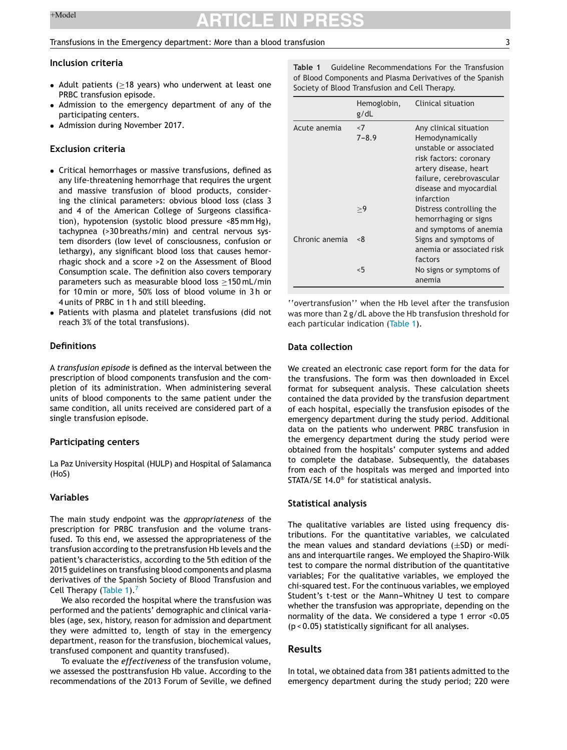### Transfusions in the Emergency department: More than a blood transfusion 3

### **Inclusion criteria**

- Adult patients ( $\geq$ 18 years) who underwent at least one PRBC transfusion episode.
- Admission to the emergency department of any of the participating centers.
- Admission during November 2017.

# **Exclusion criteria**

- Critical hemorrhages or massive transfusions, defined as any life-threatening hemorrhage that requires the urgent and massive transfusion of blood products, considering the clinical parameters: obvious blood loss (class 3 and 4 of the American College of Surgeons classification), hypotension (systolic blood pressure <85 mm Hg), tachypnea (>30 breaths/min) and central nervous system disorders (low level of consciousness, confusion or lethargy), any significant blood loss that causes hemorrhagic shock and a score >2 on the Assessment of Blood Consumption scale. The definition also covers temporary parameters such as measurable blood loss ≥150 mL/min for 10 min or more, 50% loss of blood volume in 3 h or 4 units of PRBC in 1 h and still bleeding.
- Patients with plasma and platelet transfusions (did not reach 3% of the total transfusions).

# **Definitions**

A *transfusion episode* is defined as the interval between the prescription of blood components transfusion and the completion of its administration. When administering several units of blood components to the same patient under the same condition, all units received are considered part of a single transfusion episode.

### **Participating centers**

La Paz University Hospital (HULP) and Hospital of Salamanca (HoS)

# **Variables**

The main study endpoint was the *appropriateness* of the prescription for PRBC transfusion and the volume transfused. To this end, we assessed the appropriateness of the transfusion according to the pretransfusion Hb levels and the patient's characteristics, according to the 5th edition of the 2015 guidelines on transfusing blood components and plasma derivatives of the Spanish Society of Blood Transfusion and Cell Therapy (Table 1). $<sup>7</sup>$  $<sup>7</sup>$  $<sup>7</sup>$ </sup>

We also recorded the hospital where the transfusion was performed and the patients' demographic and clinical variables (age, sex, history, reason for admission and department they were admitted to, length of stay in the emergency department, reason for the transfusion, biochemical values, transfused component and quantity transfused).

To evaluate the *effectiveness* of the transfusion volume, we assessed the posttransfusion Hb value. According to the recommendations of the 2013 Forum of Seville, we defined **Table 1** Guideline Recommendations For the Transfusion of Blood Components and Plasma Derivatives of the Spanish Society of Blood Transfusion and Cell Therapy.

|                | Hemoglobin,<br>g/dL | Clinical situation                                                                                                                                                           |  |
|----------------|---------------------|------------------------------------------------------------------------------------------------------------------------------------------------------------------------------|--|
| Acute anemia   | < 7<br>$7 - 8.9$    | Any clinical situation<br>Hemodynamically<br>unstable or associated<br>risk factors: coronary<br>artery disease, heart<br>failure, cerebrovascular<br>disease and myocardial |  |
|                | >9                  | infarction<br>Distress controlling the<br>hemorrhaging or signs<br>and symptoms of anemia                                                                                    |  |
| Chronic anemia | < 8                 | Signs and symptoms of<br>anemia or associated risk<br>factors                                                                                                                |  |
|                | < 5                 | No signs or symptoms of<br>anemia                                                                                                                                            |  |

''overtransfusion'' when the Hb level after the transfusion was more than 2 g/dL above the Hb transfusion threshold for each particular indication (Table 1).

# **Data collection**

We created an electronic case report form for the data for the transfusions. The form was then downloaded in Excel format for subsequent analysis. These calculation sheets contained the data provided by the transfusion department of each hospital, especially the transfusion episodes of the emergency department during the study period. Additional data on the patients who underwent PRBC transfusion in the emergency department during the study period were obtained from the hospitals' computer systems and added to complete the database. Subsequently, the databases from each of the hospitals was merged and imported into STATA/SE 14.0® for statistical analysis.

### **Statistical analysis**

The qualitative variables are listed using frequency distributions. For the quantitative variables, we calculated the mean values and standard deviations  $(\pm SD)$  or medians and interquartile ranges. We employed the Shapiro-Wilk test to compare the normal distribution of the quantitative variables; For the qualitative variables, we employed the chi-squared test. For the continuous variables, we employed Student's t-test or the Mann-Whitney U test to compare whether the transfusion was appropriate, depending on the normality of the data. We considered a type 1 error <0.05 (p < 0.05) statistically significant for all analyses.

# **Results**

In total, we obtained data from 381 patients admitted to the emergency department during the study period; 220 were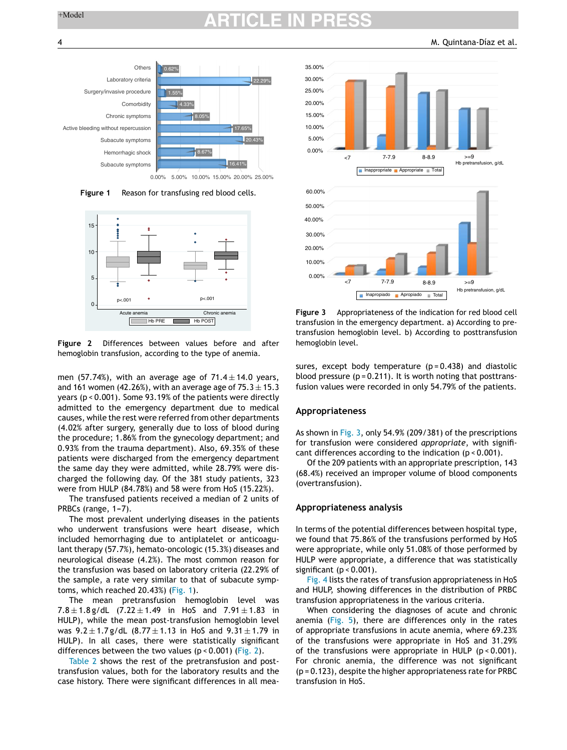

0.00% 5.00% 10.00% 15.00% 20.00% 25.00%

**Figure 1** Reason for transfusing red blood cells.



**Figure 2** Differences between values before and after hemoglobin transfusion, according to the type of anemia.

men (57.74%), with an average age of  $71.4 \pm 14.0$  years, and 161 women (42.26%), with an average age of  $75.3 \pm 15.3$ years (p < 0.001). Some 93.19% of the patients were directly admitted to the emergency department due to medical causes, while the rest were referred from other departments (4.02% after surgery, generally due to loss of blood during the procedure; 1.86% from the gynecology department; and 0.93% from the trauma department). Also, 69.35% of these patients were discharged from the emergency department the same day they were admitted, while 28.79% were discharged the following day. Of the 381 study patients, 323 were from HULP (84.78%) and 58 were from HoS (15.22%).

The transfused patients received a median of 2 units of PRBCs (range,  $1-7$ ).

The most prevalent underlying diseases in the patients who underwent transfusions were heart disease, which included hemorrhaging due to antiplatelet or anticoagulant therapy (57.7%), hemato-oncologic (15.3%) diseases and neurological disease (4.2%). The most common reason for the transfusion was based on laboratory criteria (22.29% of the sample, a rate very similar to that of subacute symptoms, which reached 20.43%) (Fig. 1).

The mean pretransfusion hemoglobin level was 7.8  $\pm$  1.8 g/dL (7.22  $\pm$  1.49 in HoS and 7.91  $\pm$  1.83 in HULP), while the mean post-transfusion hemoglobin level was  $9.2 \pm 1.7$  g/dL (8.77  $\pm$  1.13 in HoS and  $9.31 \pm 1.79$  in HULP). In all cases, there were statistically significant differences between the two values (p < 0.001) (Fig. 2).

[Table](#page-4-0) 2 shows the rest of the pretransfusion and posttransfusion values, both for the laboratory results and the case history. There were significant differences in all mea-



**Figure 3** Appropriateness of the indication for red blood cell transfusion in the emergency department. a) According to pretransfusion hemoglobin level. b) According to posttransfusion hemoglobin level.

sures, except body temperature  $(p=0.438)$  and diastolic blood pressure  $(p = 0.211)$ . It is worth noting that posttransfusion values were recorded in only 54.79% of the patients.

### **Appropriateness**

As shown in Fig. 3, only 54.9% (209/381) of the prescriptions for transfusion were considered *appropriate*, with significant differences according to the indication (p < 0.001).

Of the 209 patients with an appropriate prescription, 143 (68.4%) received an improper volume of blood components (overtransfusion).

### **Appropriateness analysis**

In terms of the potential differences between hospital type, we found that 75.86% of the transfusions performed by HoS were appropriate, while only 51.08% of those performed by HULP were appropriate, a difference that was statistically significant  $(p < 0.001)$ .

[Fig.](#page-4-0) 4 lists the rates of transfusion appropriateness in HoS and HULP, showing differences in the distribution of PRBC transfusion appropriateness in the various criteria.

When considering the diagnoses of acute and chronic anemia [\(Fig.](#page-5-0) 5), there are differences only in the rates of appropriate transfusions in acute anemia, where 69.23% of the transfusions were appropriate in HoS and 31.29% of the transfusions were appropriate in HULP  $(p < 0.001)$ . For chronic anemia, the difference was not significant (p = 0.123), despite the higher appropriateness rate for PRBC transfusion in HoS.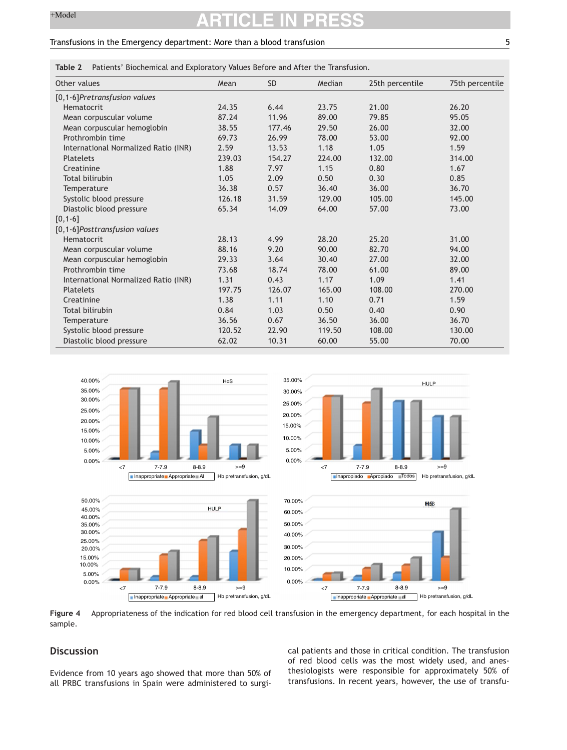# <span id="page-4-0"></span>Transfusions in the Emergency department: More than a blood transfusion 5

**Table 2** Patients' Biochemical and Exploratory Values Before and After the Transfusion.

| Other values                         | Mean   | <b>SD</b> | Median | 25th percentile | 75th percentile |
|--------------------------------------|--------|-----------|--------|-----------------|-----------------|
| [0,1-6]Pretransfusion values         |        |           |        |                 |                 |
| Hematocrit                           | 24.35  | 6.44      | 23.75  | 21.00           | 26.20           |
| Mean corpuscular volume              | 87.24  | 11.96     | 89.00  | 79.85           | 95.05           |
| Mean corpuscular hemoglobin          | 38.55  | 177.46    | 29.50  | 26.00           | 32.00           |
| Prothrombin time                     | 69.73  | 26.99     | 78.00  | 53.00           | 92.00           |
| International Normalized Ratio (INR) | 2.59   | 13.53     | 1.18   | 1.05            | 1.59            |
| Platelets                            | 239.03 | 154.27    | 224.00 | 132.00          | 314.00          |
| Creatinine                           | 1.88   | 7.97      | 1.15   | 0.80            | 1.67            |
| <b>Total bilirubin</b>               | 1.05   | 2.09      | 0.50   | 0.30            | 0.85            |
| Temperature                          | 36.38  | 0.57      | 36.40  | 36.00           | 36.70           |
| Systolic blood pressure              | 126.18 | 31.59     | 129.00 | 105.00          | 145.00          |
| Diastolic blood pressure             | 65.34  | 14.09     | 64.00  | 57.00           | 73.00           |
| $[0, 1 - 6]$                         |        |           |        |                 |                 |
| [0,1-6]Posttransfusion values        |        |           |        |                 |                 |
| Hematocrit                           | 28.13  | 4.99      | 28.20  | 25.20           | 31.00           |
| Mean corpuscular volume              | 88.16  | 9.20      | 90.00  | 82.70           | 94.00           |
| Mean corpuscular hemoglobin          | 29.33  | 3.64      | 30.40  | 27.00           | 32.00           |
| Prothrombin time                     | 73.68  | 18.74     | 78.00  | 61.00           | 89.00           |
| International Normalized Ratio (INR) | 1.31   | 0.43      | 1.17   | 1.09            | 1.41            |
| <b>Platelets</b>                     | 197.75 | 126.07    | 165.00 | 108.00          | 270.00          |
| Creatinine                           | 1.38   | 1.11      | 1.10   | 0.71            | 1.59            |
| Total bilirubin                      | 0.84   | 1.03      | 0.50   | 0.40            | 0.90            |
| Temperature                          | 36.56  | 0.67      | 36.50  | 36.00           | 36.70           |
| Systolic blood pressure              | 120.52 | 22.90     | 119.50 | 108.00          | 130.00          |
| Diastolic blood pressure             | 62.02  | 10.31     | 60.00  | 55.00           | 70.00           |



**Figure 4** Appropriateness of the indication for red blood cell transfusion in the emergency department, for each hospital in the sample.

# **Discussion**

Evidence from 10 years ago showed that more than 50% of all PRBC transfusions in Spain were administered to surgical patients and those in critical condition. The transfusion of red blood cells was the most widely used, and anesthesiologists were responsible for approximately 50% of transfusions. In recent years, however, the use of transfu-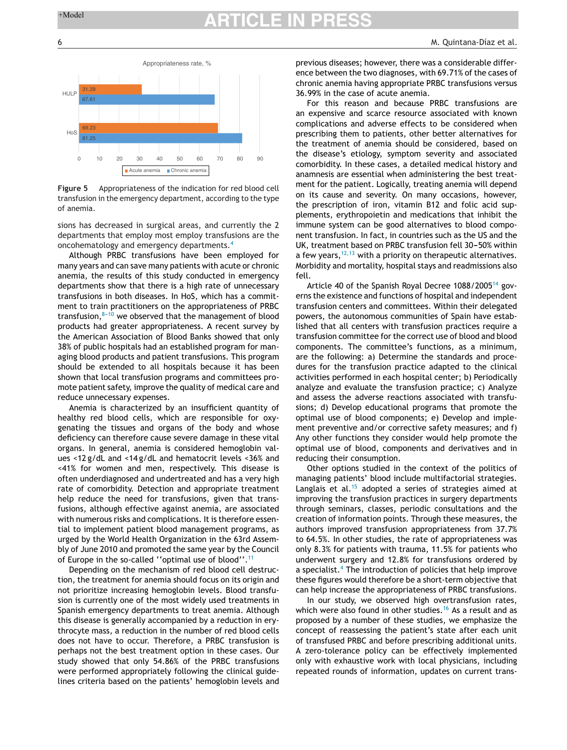<span id="page-5-0"></span>

**Figure 5** Appropriateness of the indication for red blood cell transfusion in the emergency department, according to the type of anemia.

sions has decreased in surgical areas, and currently the 2 departments that employ most employ transfusions are the oncohematology and emergency departments.[4](#page-6-0)

Although PRBC transfusions have been employed for many years and can save many patients with acute or chronic anemia, the results of this study conducted in emergency departments show that there is a high rate of unnecessary transfusions in both diseases. In HoS, which has a commitment to train practitioners on the appropriateness of PRBC transfusion, $8-10$  we observed that the management of blood products had greater appropriateness. A recent survey by the American Association of Blood Banks showed that only 38% of public hospitals had an established program for managing blood products and patient transfusions. This program should be extended to all hospitals because it has been shown that local transfusion programs and committees promote patient safety, improve the quality of medical care and reduce unnecessary expenses.

Anemia is characterized by an insufficient quantity of healthy red blood cells, which are responsible for oxygenating the tissues and organs of the body and whose deficiency can therefore cause severe damage in these vital organs. In general, anemia is considered hemoglobin values <12 g/dL and <14 g/dL and hematocrit levels <36% and <41% for women and men, respectively. This disease is often underdiagnosed and undertreated and has a very high rate of comorbidity. Detection and appropriate treatment help reduce the need for transfusions, given that transfusions, although effective against anemia, are associated with numerous risks and complications. It is therefore essential to implement patient blood management programs, as urged by the World Health Organization in the 63rd Assembly of June 2010 and promoted the same year by the Council of Europe in the so-called ''optimal use of blood''.[11](#page-6-0)

Depending on the mechanism of red blood cell destruction, the treatment for anemia should focus on its origin and not prioritize increasing hemoglobin levels. Blood transfusion is currently one of the most widely used treatments in Spanish emergency departments to treat anemia. Although this disease is generally accompanied by a reduction in erythrocyte mass, a reduction in the number of red blood cells does not have to occur. Therefore, a PRBC transfusion is perhaps not the best treatment option in these cases. Our study showed that only 54.86% of the PRBC transfusions were performed appropriately following the clinical guidelines criteria based on the patients' hemoglobin levels and previous diseases; however, there was a considerable difference between the two diagnoses, with 69.71% of the cases of chronic anemia having appropriate PRBC transfusions versus 36.99% in the case of acute anemia.

For this reason and because PRBC transfusions are an expensive and scarce resource associated with known complications and adverse effects to be considered when prescribing them to patients, other better alternatives for the treatment of anemia should be considered, based on the disease's etiology, symptom severity and associated comorbidity. In these cases, a detailed medical history and anamnesis are essential when administering the best treatment for the patient. Logically, treating anemia will depend on its cause and severity. On many occasions, however, the prescription of iron, vitamin B12 and folic acid supplements, erythropoietin and medications that inhibit the immune system can be good alternatives to blood component transfusion. In fact, in countries such as the US and the UK, treatment based on PRBC transfusion fell 30-50% within a few years,  $12,13$  with a priority on therapeutic alternatives. Morbidity and mortality, hospital stays and readmissions also fell.

Article 40 of the Spanish Royal Decree 1088/2005<sup>[14](#page-6-0)</sup> governs the existence and functions of hospital and independent transfusion centers and committees. Within their delegated powers, the autonomous communities of Spain have established that all centers with transfusion practices require a transfusion committee for the correct use of blood and blood components. The committee's functions, as a minimum, are the following: a) Determine the standards and procedures for the transfusion practice adapted to the clinical activities performed in each hospital center; b) Periodically analyze and evaluate the transfusion practice; c) Analyze and assess the adverse reactions associated with transfusions; d) Develop educational programs that promote the optimal use of blood components; e) Develop and implement preventive and/or corrective safety measures; and f) Any other functions they consider would help promote the optimal use of blood, components and derivatives and in reducing their consumption.

Other options studied in the context of the politics of managing patients' blood include multifactorial strategies. Langlais et al.<sup>[15](#page-6-0)</sup> adopted a series of strategies aimed at improving the transfusion practices in surgery departments through seminars, classes, periodic consultations and the creation of information points. Through these measures, the authors improved transfusion appropriateness from 37.7% to 64.5%. In other studies, the rate of appropriateness was only 8.3% for patients with trauma, 11.5% for patients who underwent surgery and 12.8% for transfusions ordered by a specialist.<sup>4</sup> [T](#page-6-0)he introduction of policies that help improve these figures would therefore be a short-term objective that can help increase the appropriateness of PRBC transfusions.

In our study, we observed high overtransfusion rates, which were also found in other studies.<sup>[16](#page-6-0)</sup> As a result and as proposed by a number of these studies, we emphasize the concept of reassessing the patient's state after each unit of transfused PRBC and before prescribing additional units. A zero-tolerance policy can be effectively implemented only with exhaustive work with local physicians, including repeated rounds of information, updates on current trans-